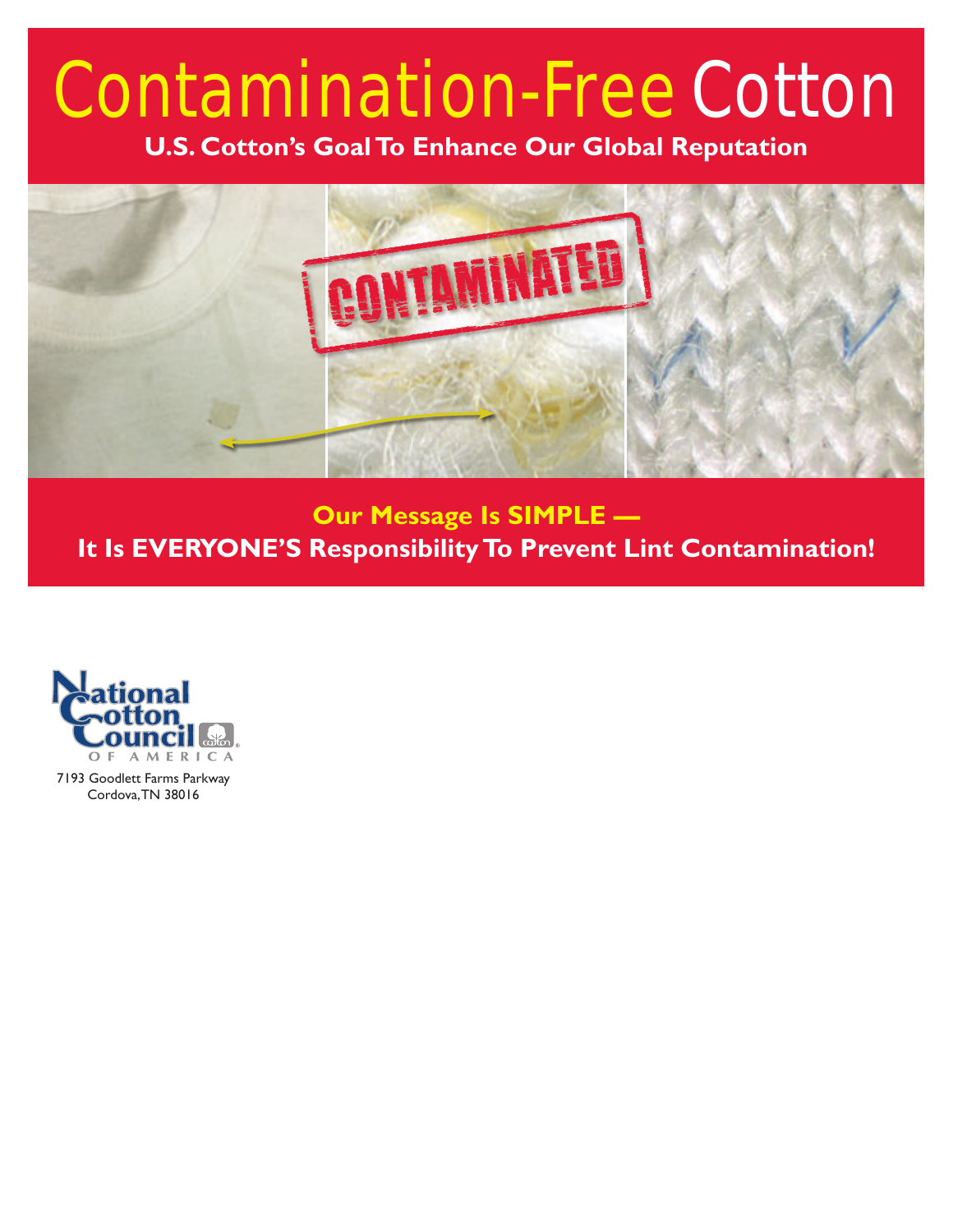# Contamination-Free Cotton

**U.S. Cotton's Goal To Enhance Our Global Reputation**



**Our Message Is SIMPLE — It Is EVERYONE'S Responsibility To Prevent Lint Contamination!**



7193 Goodlett Farms Parkway Cordova, TN 38016